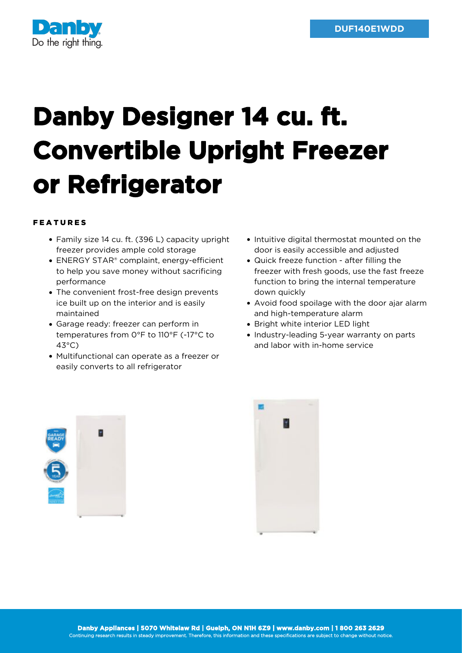

## **Danby Designer 14 cu. ft. Convertible Upright Freezer or Refrigerator**

## FEATURES

- Family size 14 cu. ft. (396 L) capacity upright freezer provides ample cold storage
- ENERGY STAR® complaint, energy-efficient to help you save money without sacrificing performance
- The convenient frost-free design prevents ice built up on the interior and is easily maintained
- Garage ready: freezer can perform in temperatures from 0°F to 110°F (-17°C to 43°C)
- Multifunctional can operate as a freezer or easily converts to all refrigerator
- Intuitive digital thermostat mounted on the door is easily accessible and adjusted
- Quick freeze function after filling the freezer with fresh goods, use the fast freeze function to bring the internal temperature down quickly
- Avoid food spoilage with the door ajar alarm and high-temperature alarm
- Bright white interior LED light
- Industry-leading 5-year warranty on parts and labor with in-home service